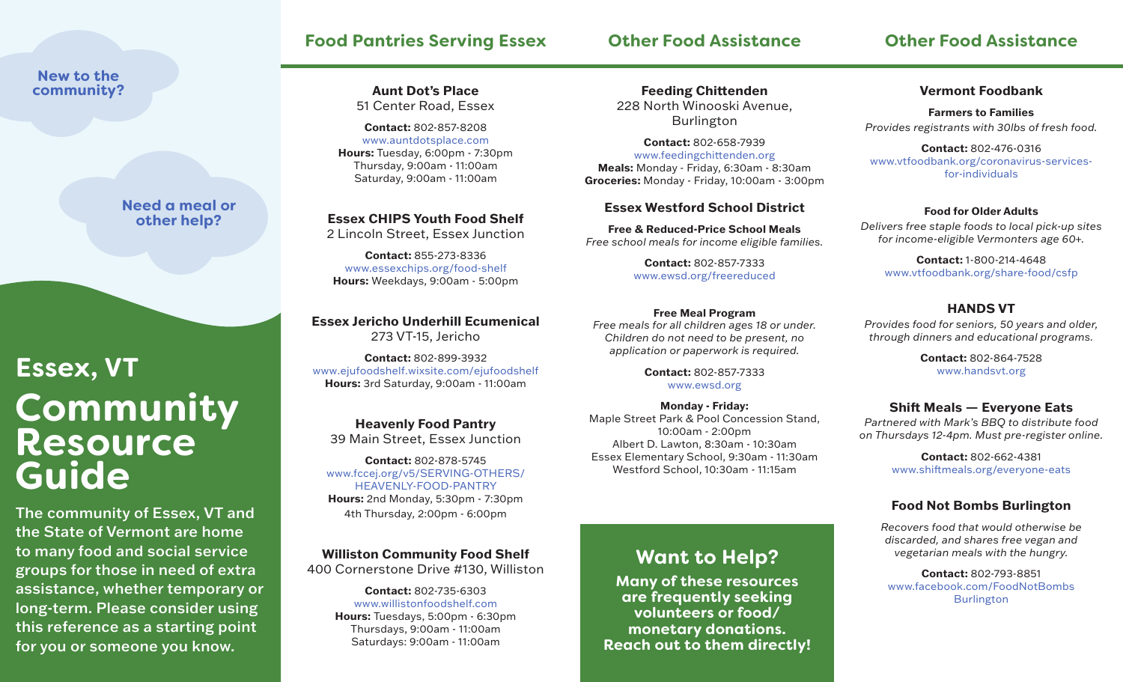# **Food Pantries Serving Essex**

# **Other Food Assistance**

# **Other Food Assistance**

## **New to the community?**

**Need a meal or other help?**

# **Community Resource Guide Essex, VT**

The community of Essex, VT and the State of Vermont are home to many food and social service groups for those in need of extra assistance, whether temporary or long-term. Please consider using this reference as a starting point for you or someone you know.

#### **Aunt Dot's Place** 51 Center Road, Essex

**Contact:** 802-857-8208 www.auntdotsplace.com **Hours:** Tuesday, 6:00pm - 7:30pm Thursday, 9:00am - 11:00am Saturday, 9:00am - 11:00am

**Essex CHIPS Youth Food Shelf** 2 Lincoln Street, Essex Junction

**Contact:** 855-273-8336 www.essexchips.org/food-shelf **Hours:** Weekdays, 9:00am - 5:00pm

**Essex Jericho Underhill Ecumenical** 273 VT-15, Jericho

**Contact:** 802-899-3932 www.ejufoodshelf.wixsite.com/ejufoodshelf **Hours:** 3rd Saturday, 9:00am - 11:00am

**Heavenly Food Pantry** 39 Main Street, Essex Junction

**Contact:** 802-878-5745 www.fccej.org/v5/SERVING-OTHERS/ HEAVENLY-FOOD-PANTRY **Hours:** 2nd Monday, 5:30pm - 7:30pm 4th Thursday, 2:00pm - 6:00pm

**Williston Community Food Shelf** 400 Cornerstone Drive #130, Williston

> **Contact:** 802-735-6303 www.willistonfoodshelf.com **Hours:** Tuesdays, 5:00pm - 6:30pm Thursdays, 9:00am - 11:00am Saturdays: 9:00am - 11:00am

**Feeding Chittenden** 228 North Winooski Avenue, Burlington

**Contact:** 802-658-7939 www.feedingchittenden.org **Meals:** Monday - Friday, 6:30am - 8:30am **Groceries:** Monday - Friday, 10:00am - 3:00pm

#### **Essex Westford School District**

**Free & Reduced-Price School Meals** *Free school meals for income eligible families.*

> **Contact:** 802-857-7333 www.ewsd.org/freereduced

#### **Free Meal Program**

*Free meals for all children ages 18 or under. Children do not need to be present, no application or paperwork is required.*

> **Contact:** 802-857-7333 www.ewsd.org

**Monday - Friday:** Maple Street Park & Pool Concession Stand, 10:00am - 2:00pm Albert D. Lawton, 8:30am - 10:30am Essex Elementary School, 9:30am - 11:30am Westford School, 10:30am - 11:15am

# **Want to Help?**

**Many of these resources are frequently seeking volunteers or food/ monetary donations. Reach out to them directly!**

#### **Vermont Foodbank**

**Farmers to Families** *Provides registrants with 30lbs of fresh food.*

**Contact:** 802-476-0316 www.vtfoodbank.org/coronavirus-servicesfor-individuals

#### **Food for Older Adults**

*Delivers free staple foods to local pick-up sites for income-eligible Vermonters age 60+.*

**Contact:** 1-800-214-4648 www.vtfoodbank.org/share-food/csfp

## **HANDS VT**

*Provides food for seniors, 50 years and older, through dinners and educational programs.*

> **Contact:** 802-864-7528 www.handsvt.org

# **Shift Meals — Everyone Eats**

*Partnered with Mark's BBQ to distribute food on Thursdays 12-4pm. Must pre-register online.*

> **Contact:** 802-662-4381 www.shiftmeals.org/everyone-eats

## **Food Not Bombs Burlington**

*Recovers food that would otherwise be discarded, and shares free vegan and vegetarian meals with the hungry.*

**Contact:** 802-793-8851 www.facebook.com/FoodNotBombs Burlington